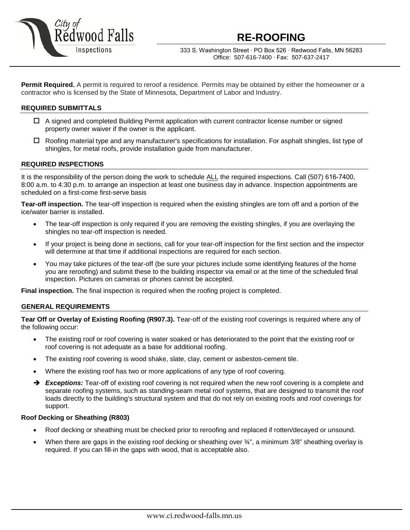

333 S. Washington Street ∙ PO Box 526 ∙ Redwood Falls, MN 56283 Office: 507-616-7400 ∙ Fax: 507-637-2417

**Permit Required.** A permit is required to reroof a residence. Permits may be obtained by either the homeowner or a contractor who is licensed by the State of Minnesota, Department of Labor and Industry.

## **REQUIRED SUBMITTALS**

- A signed and completed Building Permit application with current contractor license number or signed property owner waiver if the owner is the applicant.
- $\Box$  Roofing material type and any manufacturer's specifications for installation. For asphalt shingles, list type of shingles, for metal roofs, provide installation guide from manufacturer.

#### **REQUIRED INSPECTIONS**

It is the responsibility of the person doing the work to schedule ALL the required inspections. Call (507) 616-7400, 8:00 a.m. to 4:30 p.m. to arrange an inspection at least one business day in advance. Inspection appointments are scheduled on a first-come first-serve basis

**Tear-off inspection.** The tear-off inspection is required when the existing shingles are torn off and a portion of the ice/water barrier is installed.

- The tear-off inspection is only required if you are removing the existing shingles, if you are overlaying the shingles no tear-off inspection is needed.
- If your project is being done in sections, call for your tear-off inspection for the first section and the inspector will determine at that time if additional inspections are required for each section.
- You may take pictures of the tear-off (be sure your pictures include some identifying features of the home you are reroofing) and submit these to the building inspector via email or at the time of the scheduled final inspection. Pictures on cameras or phones cannot be accepted.

**Final inspection.** The final inspection is required when the roofing project is completed.

#### **GENERAL REQUIREMENTS**

**Tear Off or Overlay of Existing Roofing (R907.3).** Tear-off of the existing roof coverings is required where any of the following occur:

- The existing roof or roof covering is water soaked or has deteriorated to the point that the existing roof or roof covering is not adequate as a base for additional roofing.
- The existing roof covering is wood shake, slate, clay, cement or asbestos-cement tile.
- Where the existing roof has two or more applications of any type of roof covering.
- → **Exceptions:** Tear-off of existing roof covering is not required when the new roof covering is a complete and separate roofing systems, such as standing-seam metal roof systems, that are designed to transmit the roof loads directly to the building's structural system and that do not rely on existing roofs and roof coverings for support.

#### **Roof Decking or Sheathing (R803)**

- Roof decking or sheathing must be checked prior to reroofing and replaced if rotten/decayed or unsound.
- When there are gaps in the existing roof decking or sheathing over  $\frac{3}{4}$ ", a minimum 3/8" sheathing overlay is required. If you can fill-in the gaps with wood, that is acceptable also.